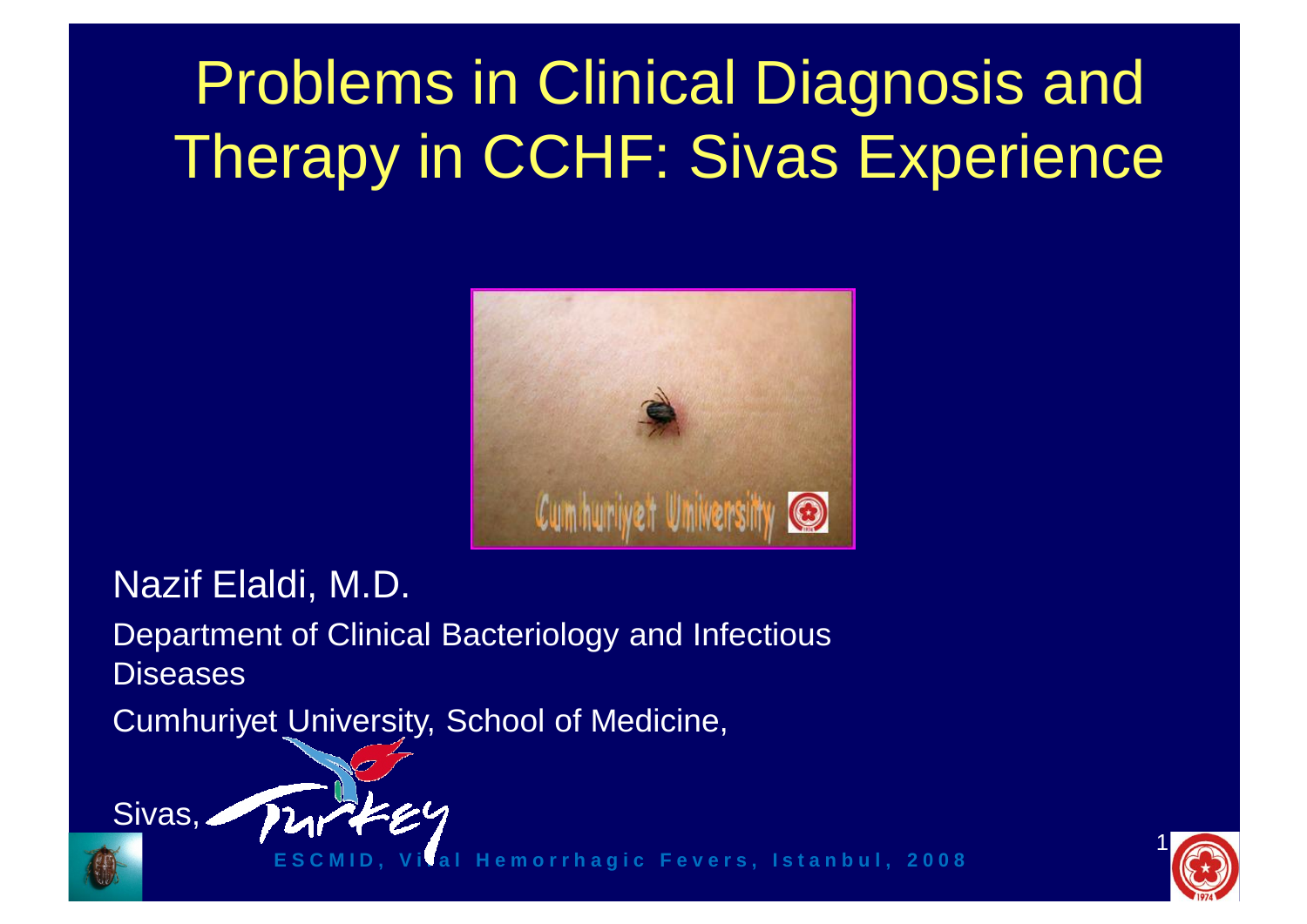### Problems in Clinical Diagnosis and Therapy in CCHF: Sivas Experience



Nazif Elaldi, M.D.

Department of Clinical Bacteriology and Infectious **Diseases** 

Cumhuriyet University, School of Medicine,





**E S C M I D , V i r a l H e m o r r h a g i c F e v e r s , I s t a n b u l , 2 0 0 8**

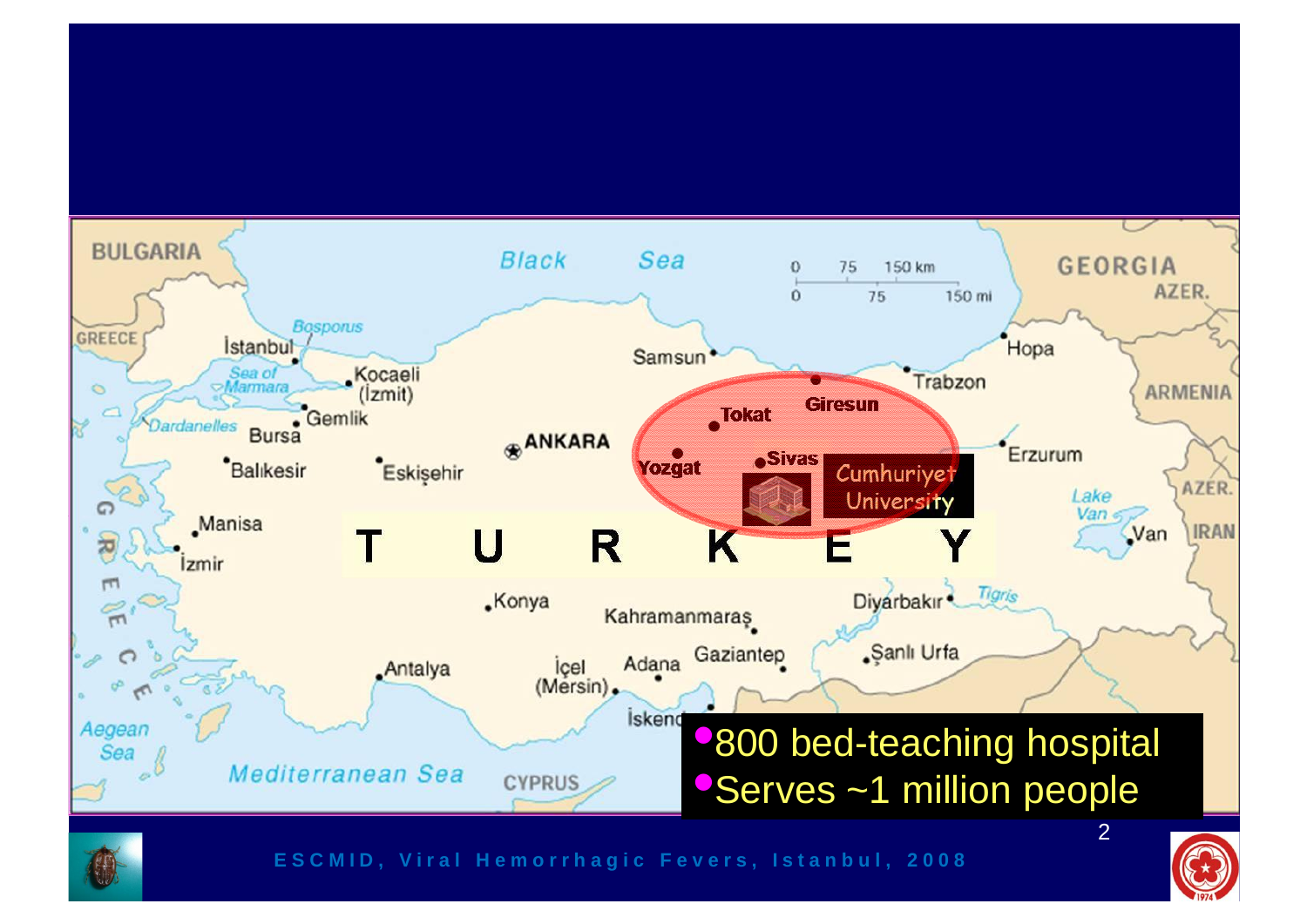#### **BULGARIA Black** Sea **GEORGIA**  $\Omega$ 75 150 km AZER. 150 mi  $\Omega$ 75 **Bosporus GREECE** *Istanbul* Hopa Samsun Sea of **Kocaeli** Trabzon  $\circ$ **ARMENIA**  $(lzmit)$ **Giresun**  $\frac{1}{2}$ Gemlik Tokat Dardanelles Bursa **ANKARA** Erzurum **eSivas** Balıkesir Eskişehir Yozgat Cumhuriyet AZER. Lake University G Jan **Manisa IRAN** Van R K IJ 芮 **Izmir**  $\Gamma$ Diyarbakır<sup>2</sup> Tigris **.Konya**  $\approx$ Kahramanmaras Adana Gaziantep "Şanlı Urfa  $\bigcap$ **Antalya** icel (Mersin). İskend Aegean •800 bed-teaching hospital Sea Mediterranean Sea Serves ~1 million people **CYPRUS** 2



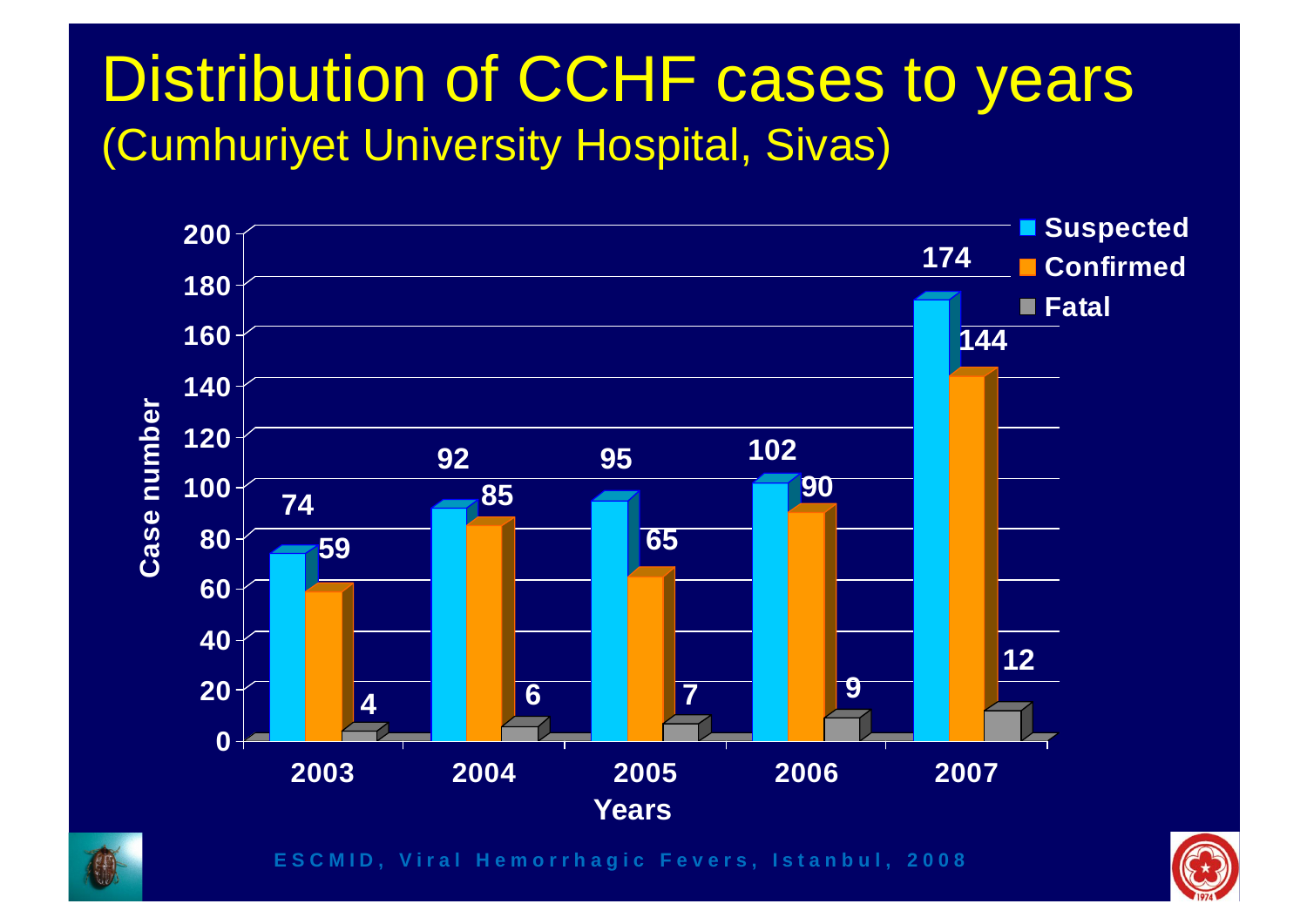### Distribution of CCHF cases to years (Cumhuriyet University Hospital, Sivas)





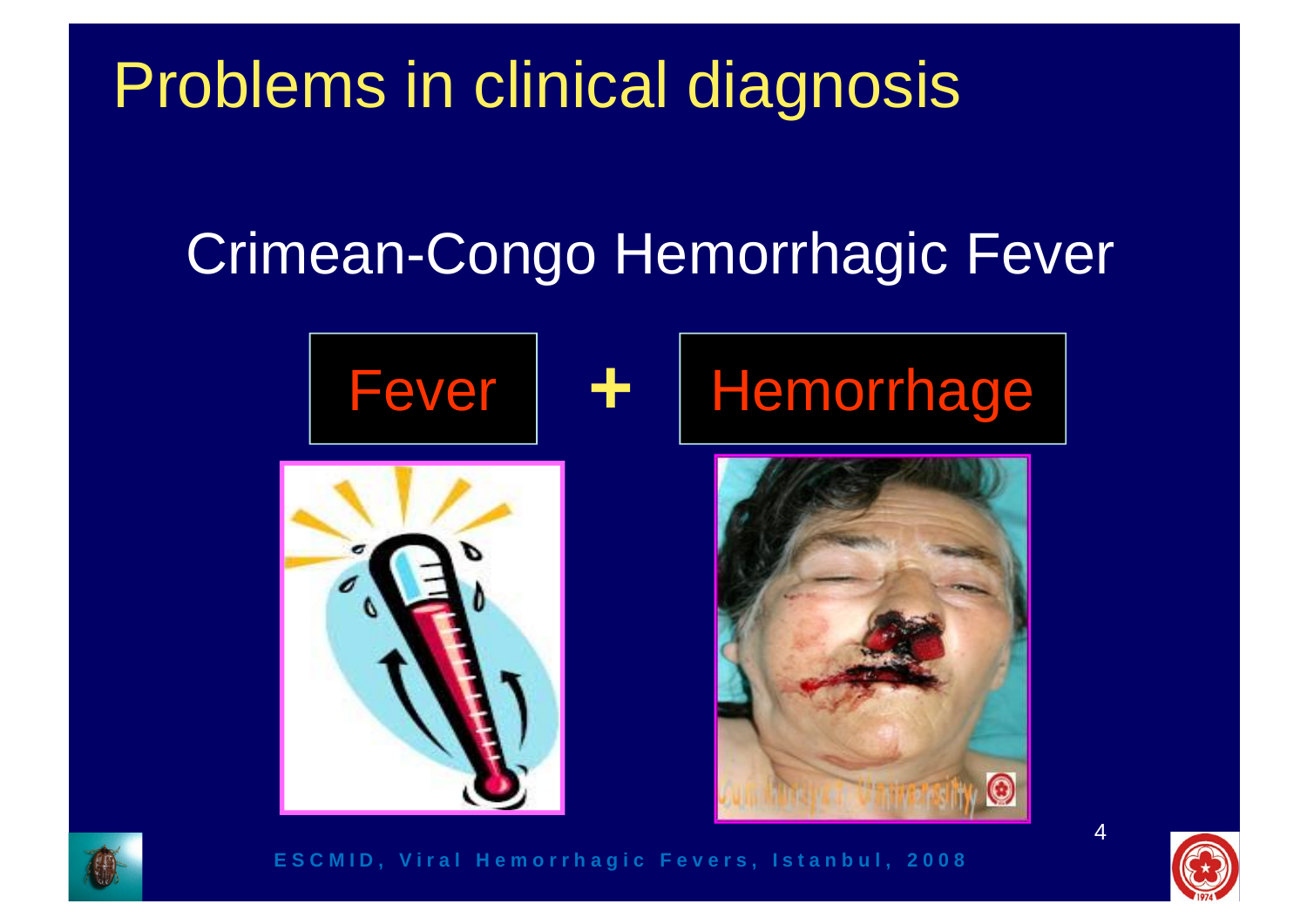### Problems in clinical diagnosis

### Crimean-Congo Hemorrhagic Fever





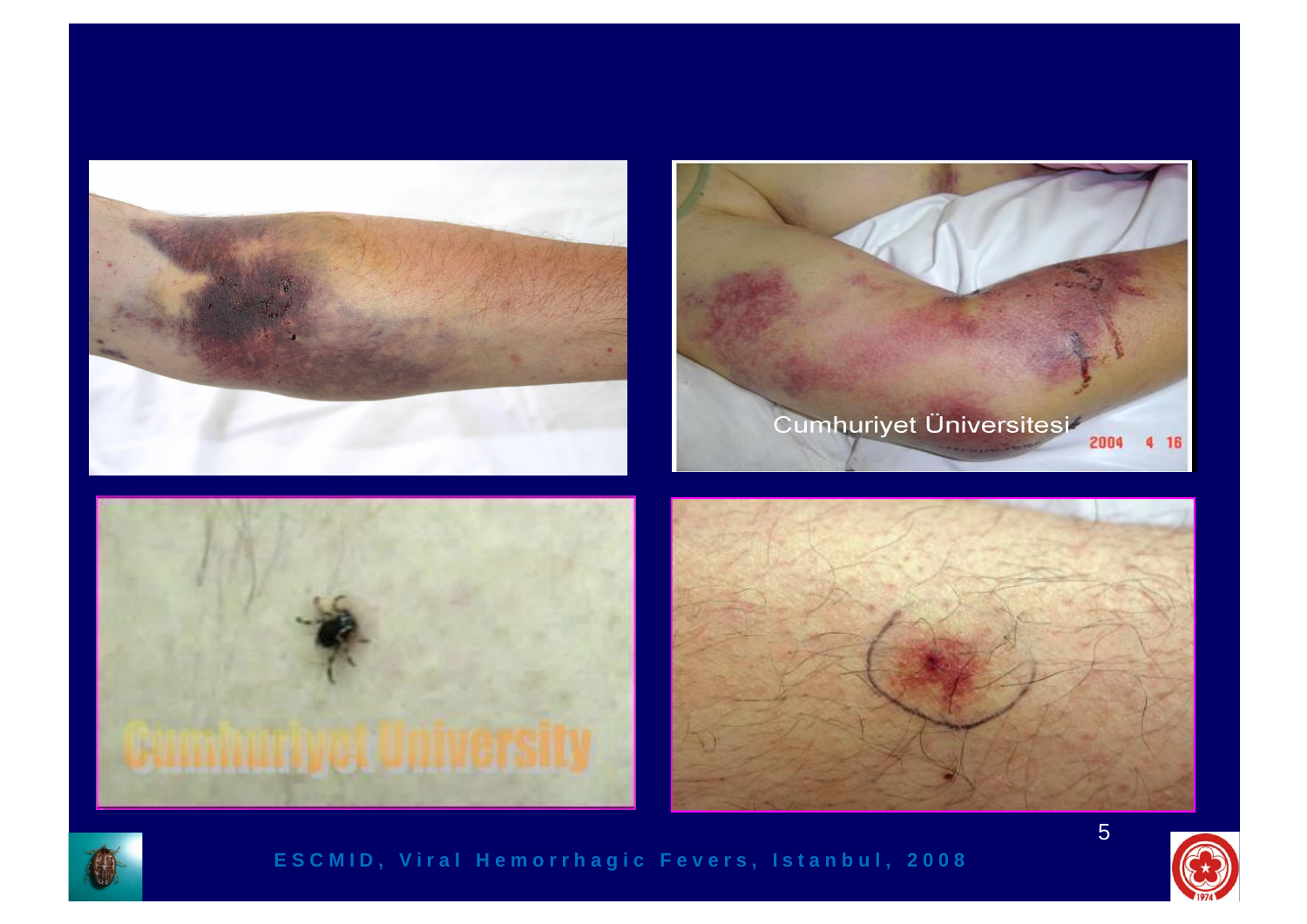



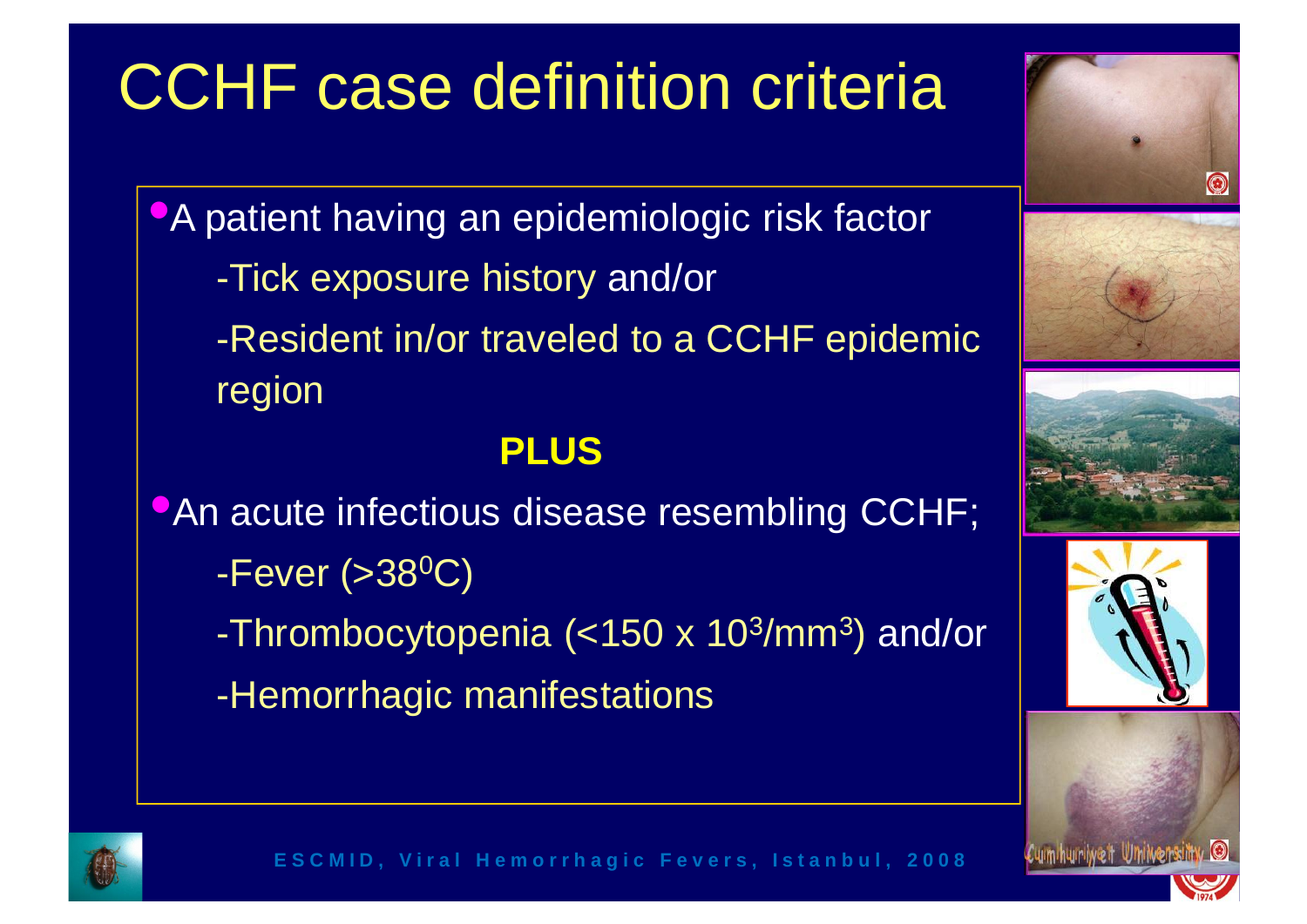### CCHF case definition criteria

**• A patient having an epidemiologic risk factor** -Tick exposure history and/or -Resident in/or traveled to a CCHF epidemic region

#### **PLUS**

**•An acute infectious disease resembling CCHF;**  $-Fever$  (>38<sup>0</sup>C) -Thrombocytopenia (<150 x 10<sup>3</sup>/mm<sup>3</sup>) and/or  $\|$ -Hemorrhagic manifestations











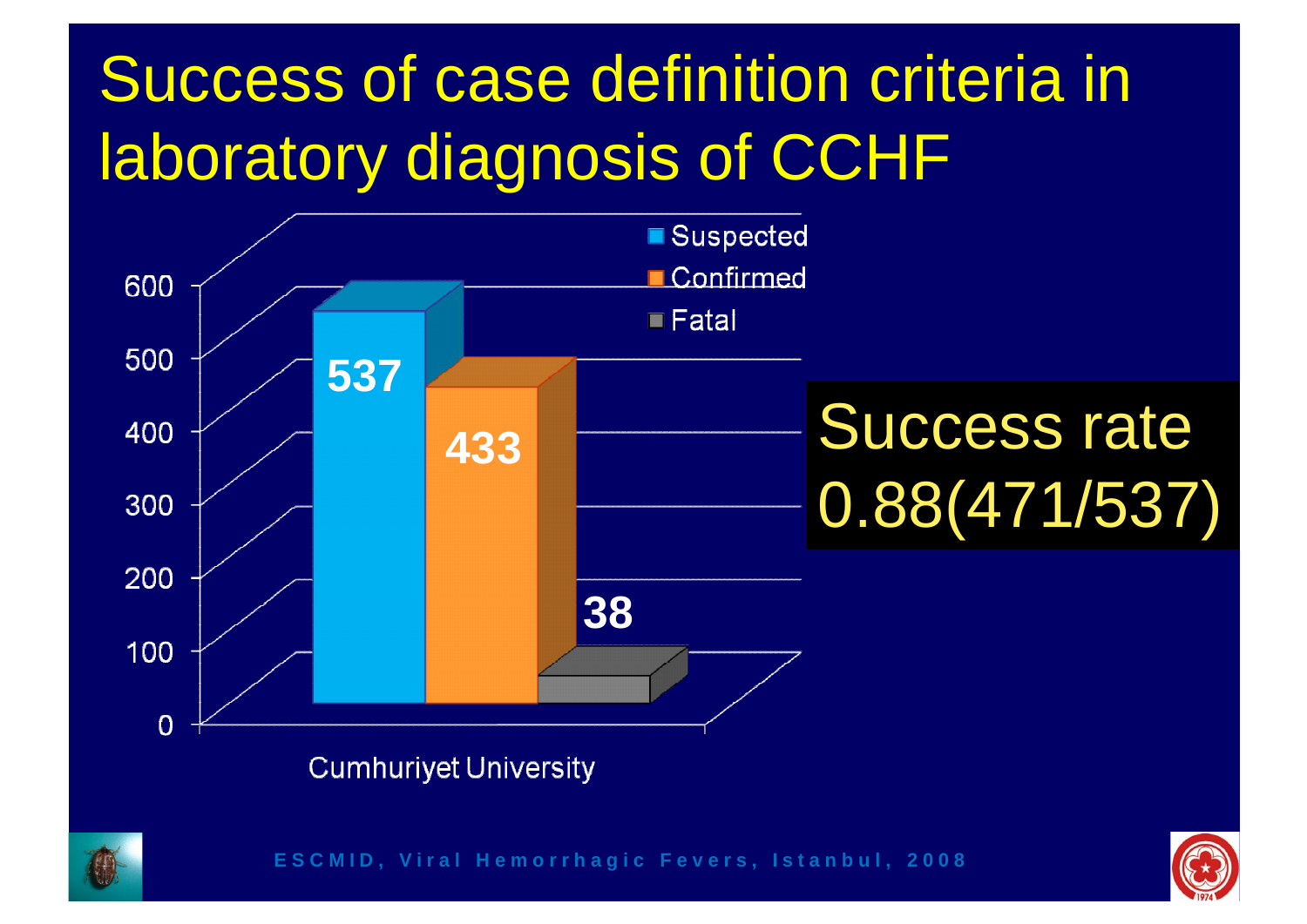### Success of case definition criteria in laboratory diagnosis of CCHF





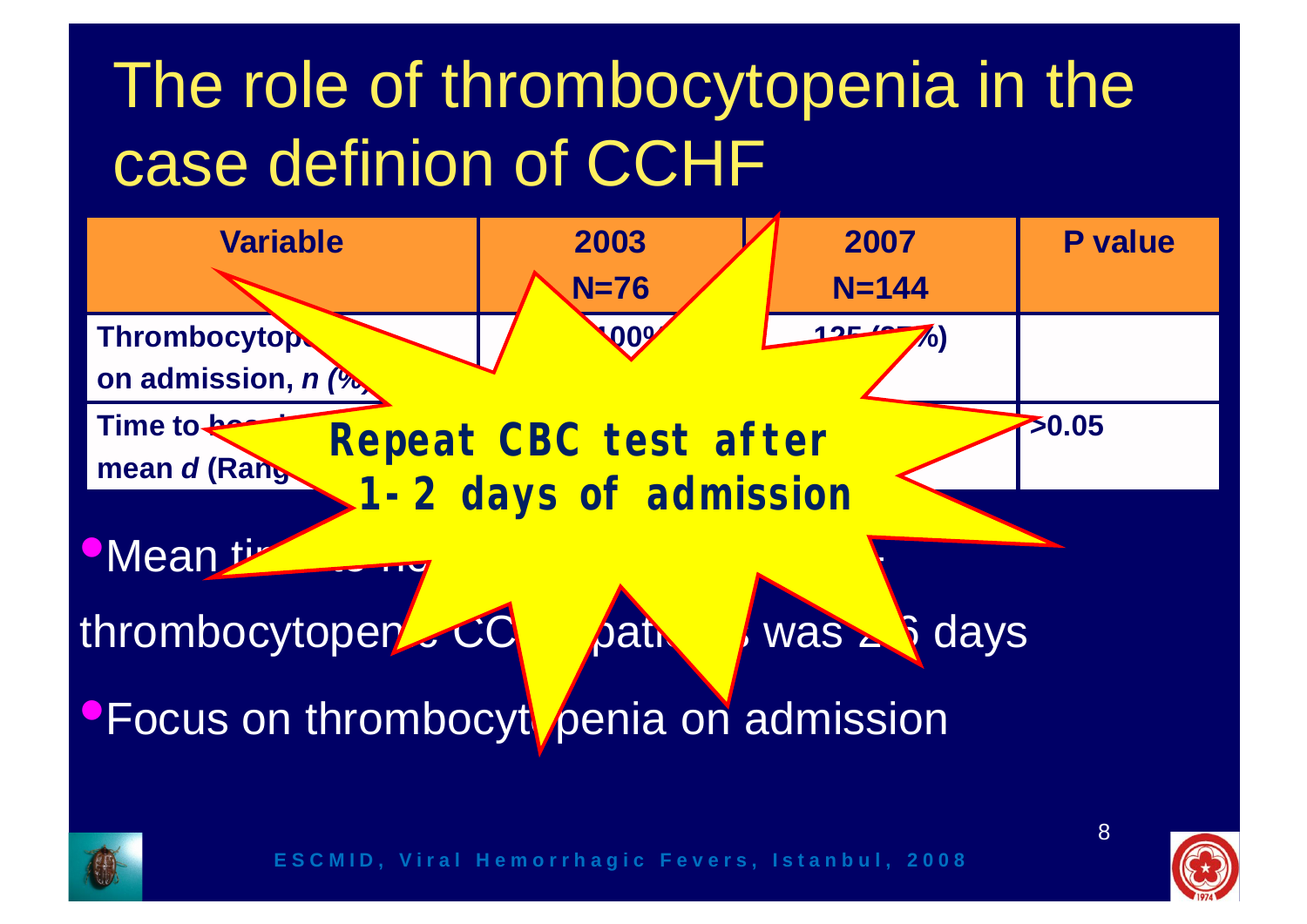### The role of thrombocytopenia in the case definion of CCHF





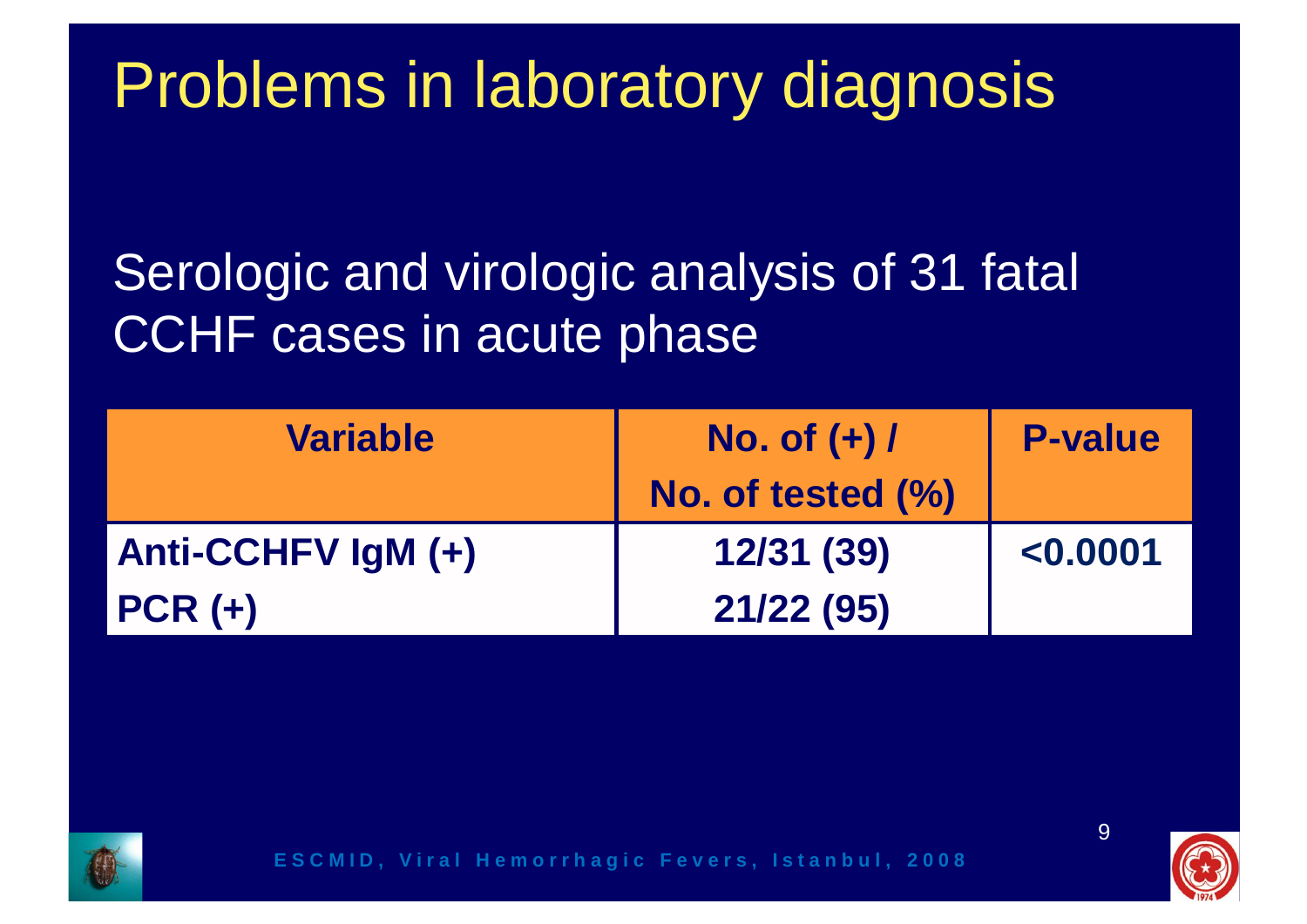### Problems in laboratory diagnosis

### Serologic and virologic analysis of 31 fatal CCHF cases in acute phase

| <b>Variable</b>    | No. of $(+)$ /<br>No. of tested (%) | <b>P-value</b> |
|--------------------|-------------------------------------|----------------|
| Anti-CCHFV IgM (+) | 12/31 (39)                          | < 0.0001       |
| $PCR (+)$          | 21/22 (95)                          |                |



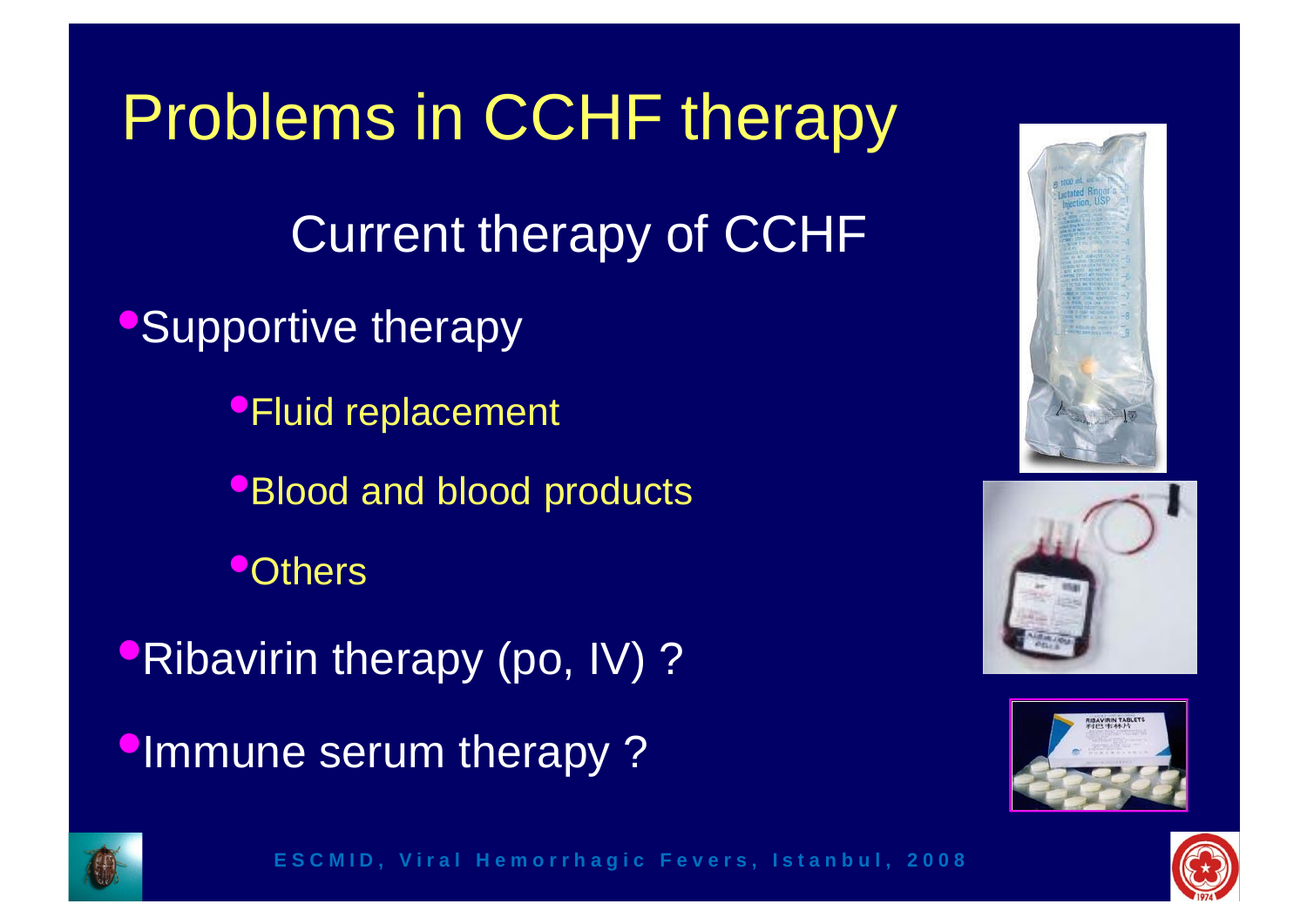Problems in CCHF therapy Current therapy of CCHF **•Supportive therapy** •Fluid replacement **•Blood and blood products •Others** •Ribavirin therapy (po, IV) ? **•Immune serum therapy?** 









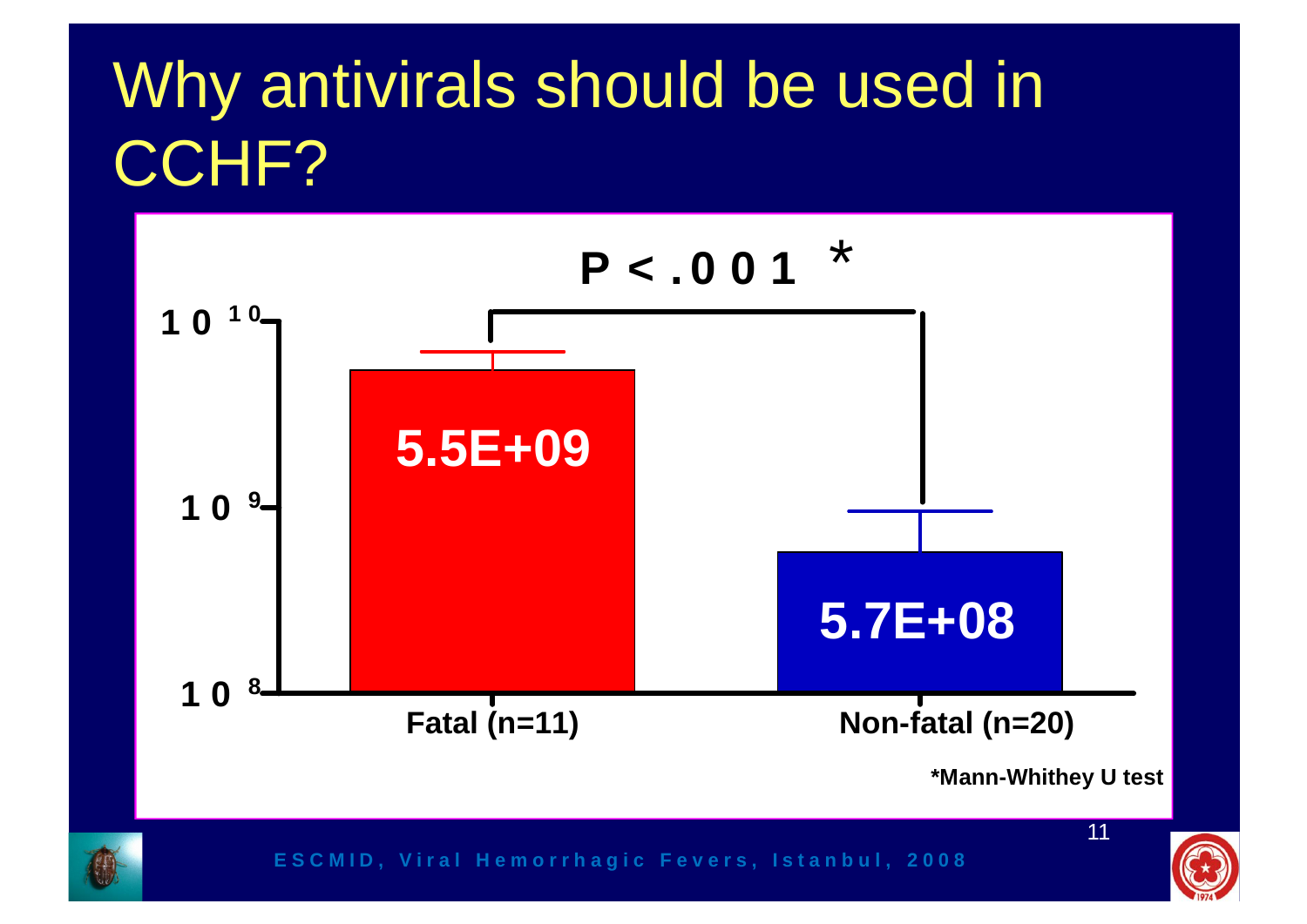### Why antivirals should be used in CCHF?



![](_page_10_Picture_2.jpeg)

![](_page_10_Picture_4.jpeg)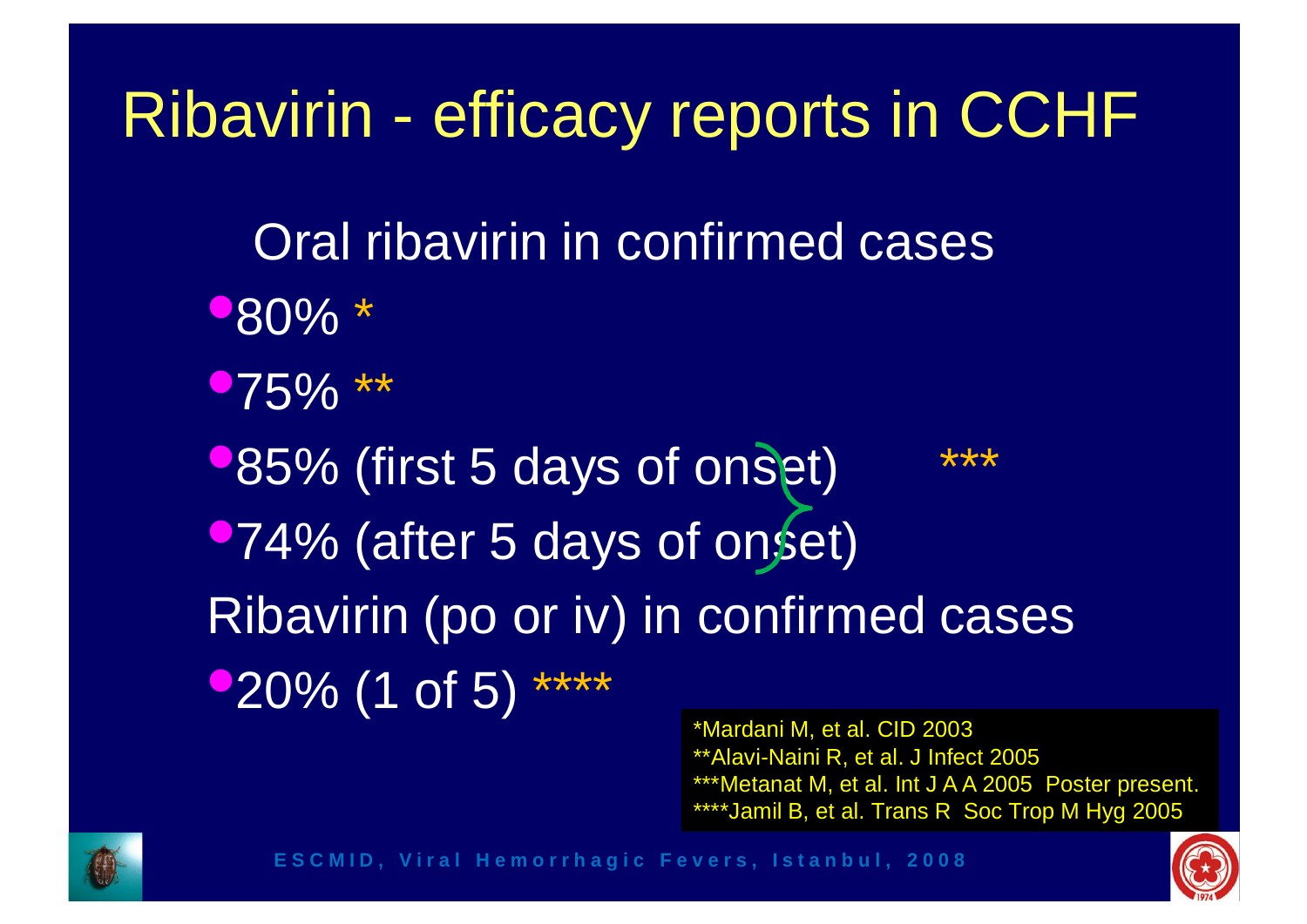### Ribavirin - efficacy reports in CCHF

- Oral ribavirin in confirmed cases
- •80% \*
- $-75\%$  \*\*
- $\blacktriangleright$  85% (first 5 days of onset) •74% (after 5 days of onset) Ribavirin (po or iv) in confirmed cases  $\bullet$  20% (1 of 5) \*\*\*\*

\*Mardani M, et al. CID 2003 \*\*Alavi-Naini R, et al. J Infect 2005 \*\*\*Metanat M, et al. Int J A A 2005 Poster present. \*\*\*\*Jamil B, et al. Trans R Soc Trop M Hyg 2005

![](_page_11_Picture_6.jpeg)

![](_page_11_Picture_8.jpeg)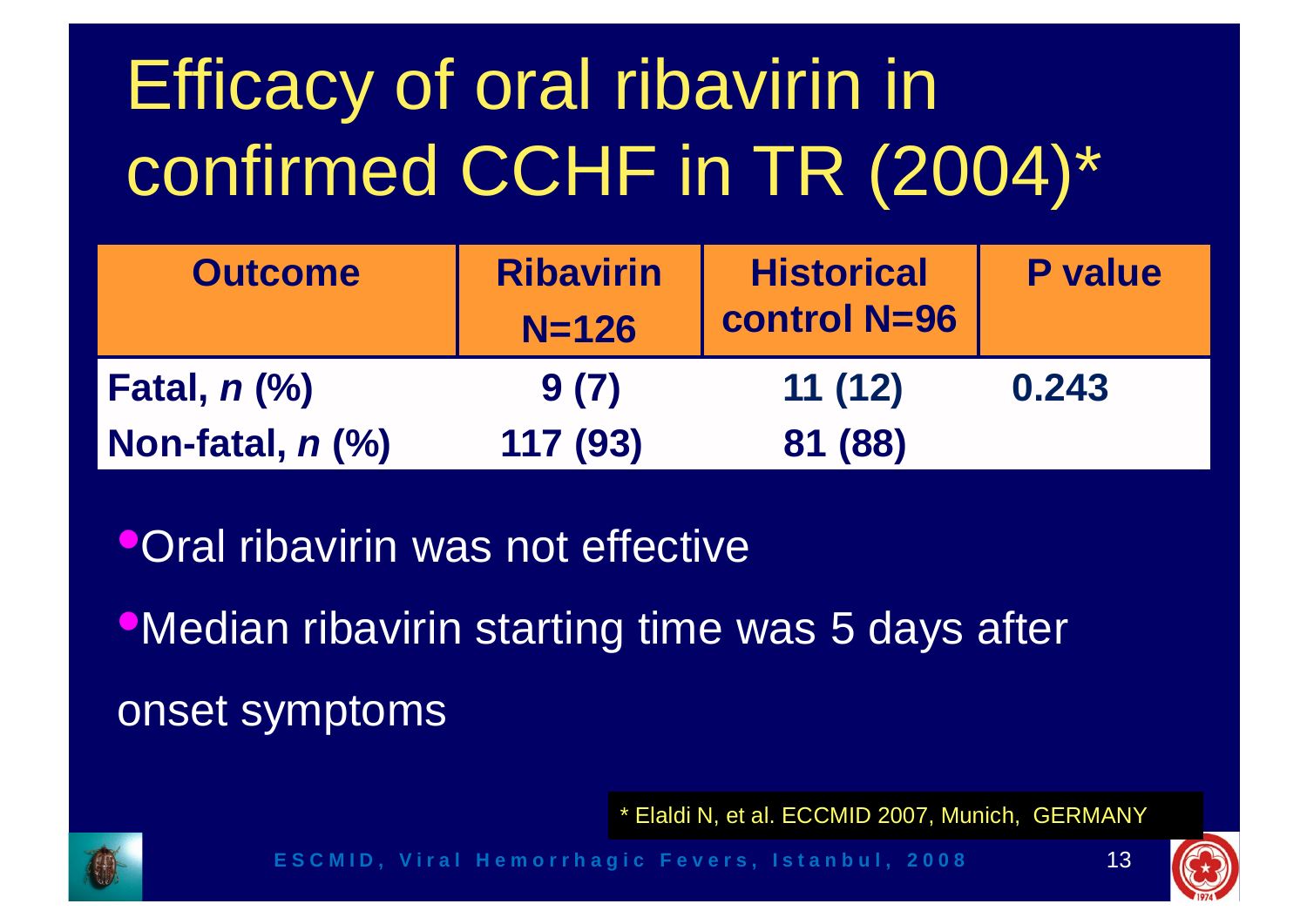## Efficacy of oral ribavirin in confirmed CCHF in TR (2004)\*

| <b>Outcome</b>   | <b>Ribavirin</b><br>$N = 126$ | <b>Historical</b><br><b>control N=96</b> | <b>P</b> value |
|------------------|-------------------------------|------------------------------------------|----------------|
| Fatal, n (%)     | 9(7)                          | 11(12)                                   | 0.243          |
| Non-fatal, n (%) | 117 (93)                      | 81 (88)                                  |                |

**•Oral ribavirin was not effective** 

•Median ribavirin starting time was 5 days after onset symptoms

\* Elaldi N, et al. ECCMID 2007, Munich, GERMANY

![](_page_12_Picture_5.jpeg)

![](_page_12_Picture_7.jpeg)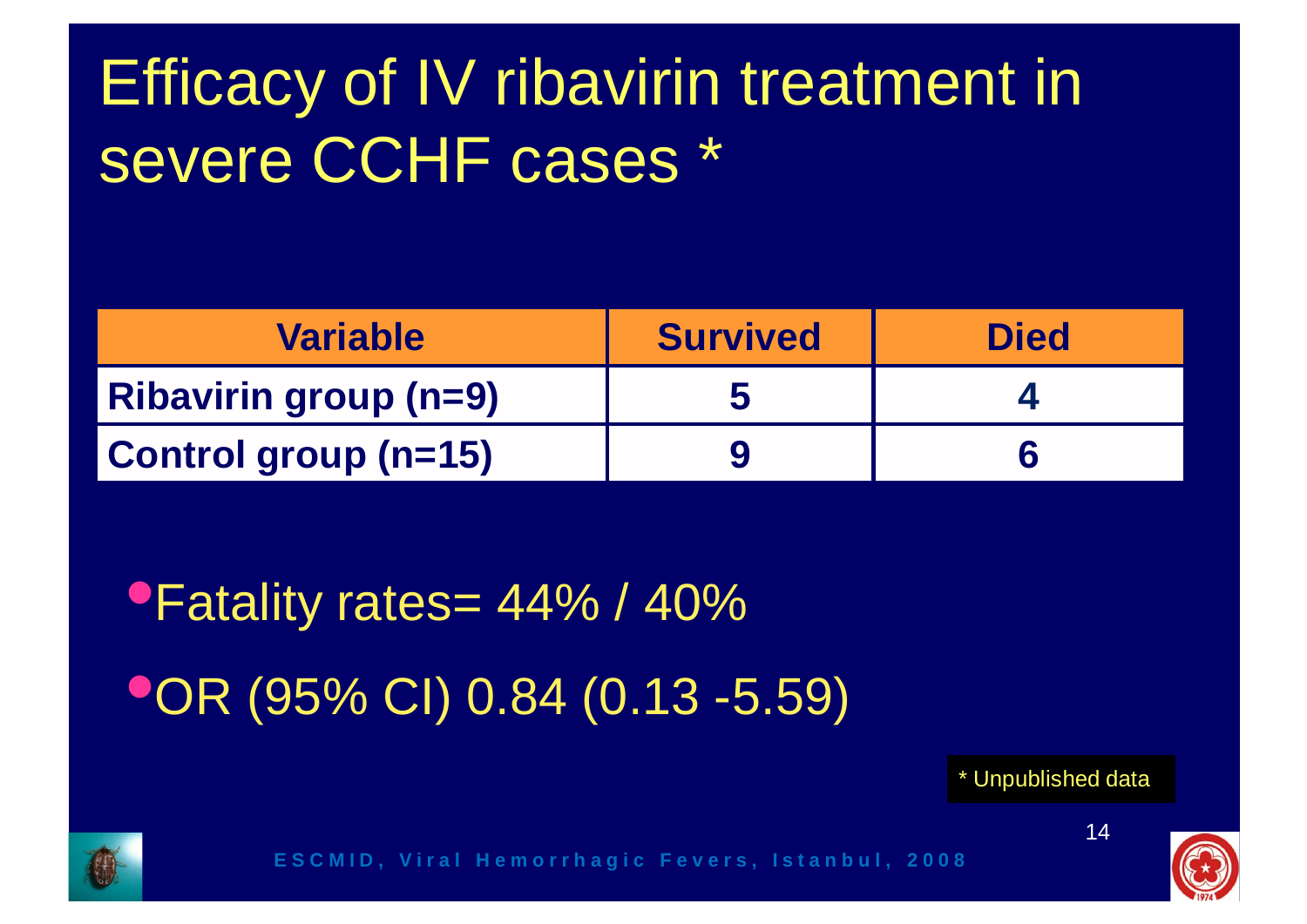### Efficacy of IV ribavirin treatment in severe CCHF cases \*

| <b>Variable</b>              | <b>Survived</b> | <b>Died</b> |
|------------------------------|-----------------|-------------|
| <b>Ribavirin group (n=9)</b> |                 |             |
| Control group (n=15)         |                 |             |

•Fatality rates= 44% / 40% •OR (95% CI) 0.84 (0.13 -5.59)

\* Unpublished data

![](_page_13_Picture_4.jpeg)

![](_page_13_Picture_6.jpeg)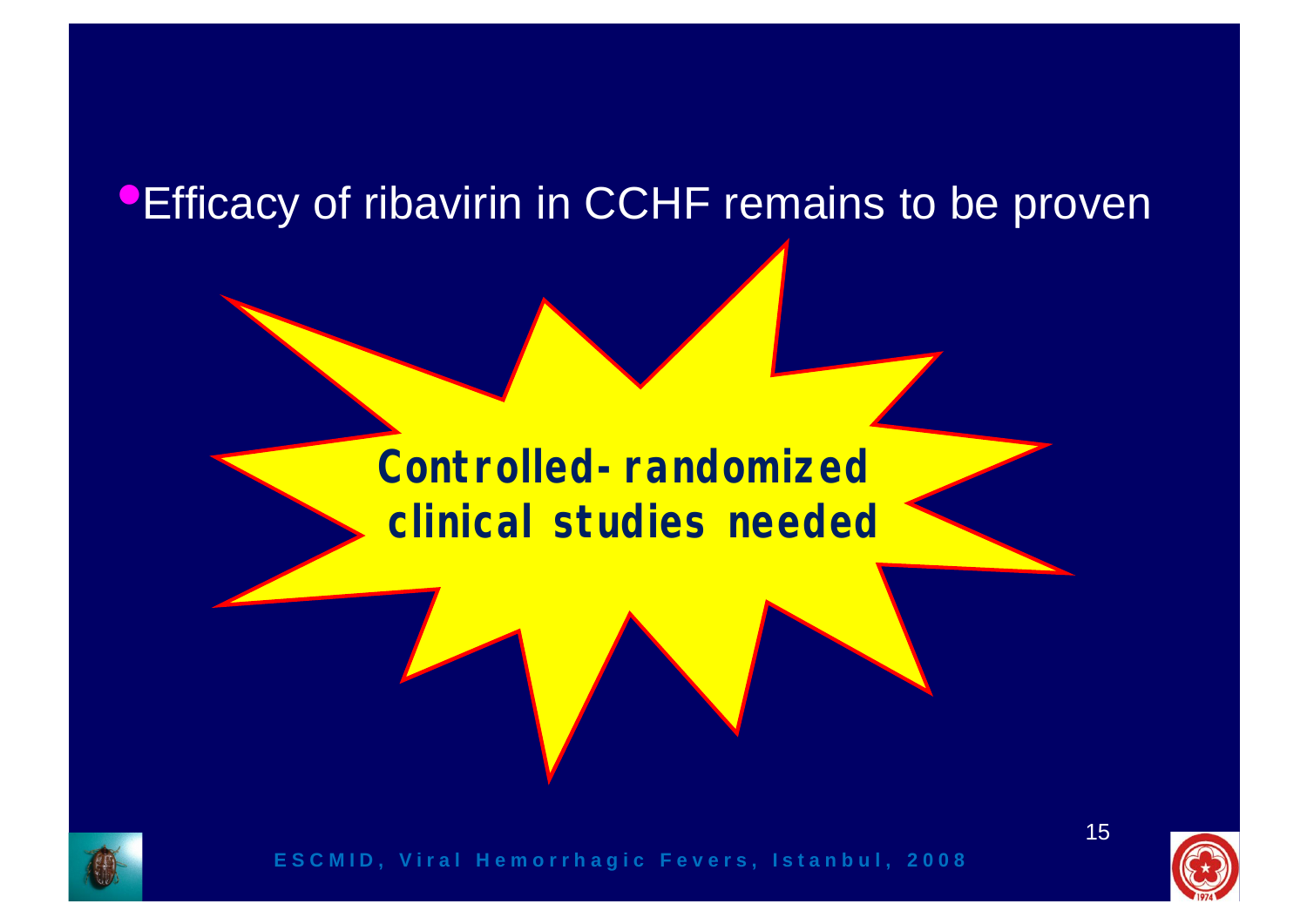#### **•Efficacy of ribavirin in CCHF remains to be proven**

#### **Controlled-randomized clinical studies needed**

![](_page_14_Picture_2.jpeg)

![](_page_14_Picture_3.jpeg)

15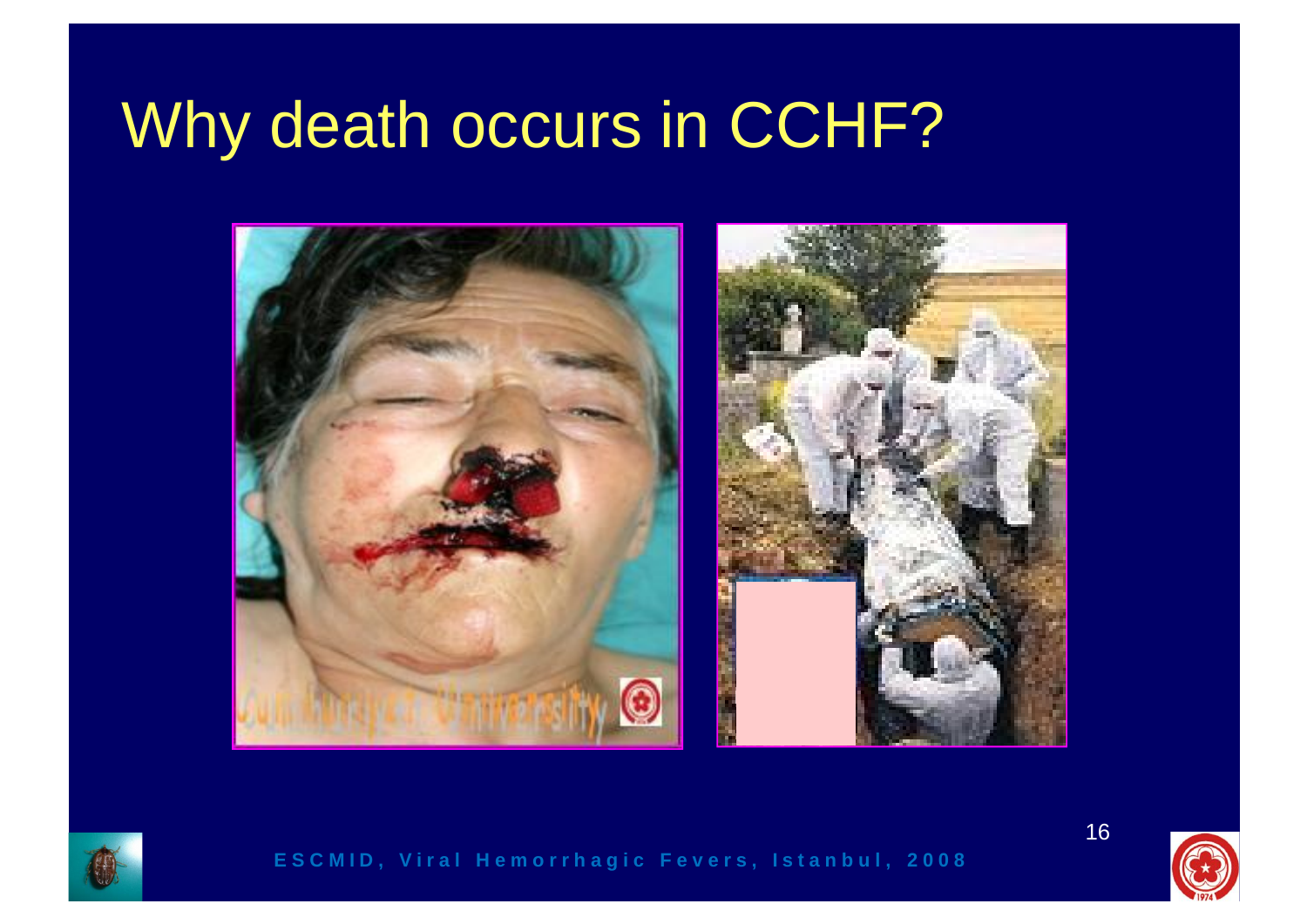### Why death occurs in CCHF?

![](_page_15_Picture_1.jpeg)

![](_page_15_Picture_2.jpeg)

![](_page_15_Picture_3.jpeg)

![](_page_15_Picture_4.jpeg)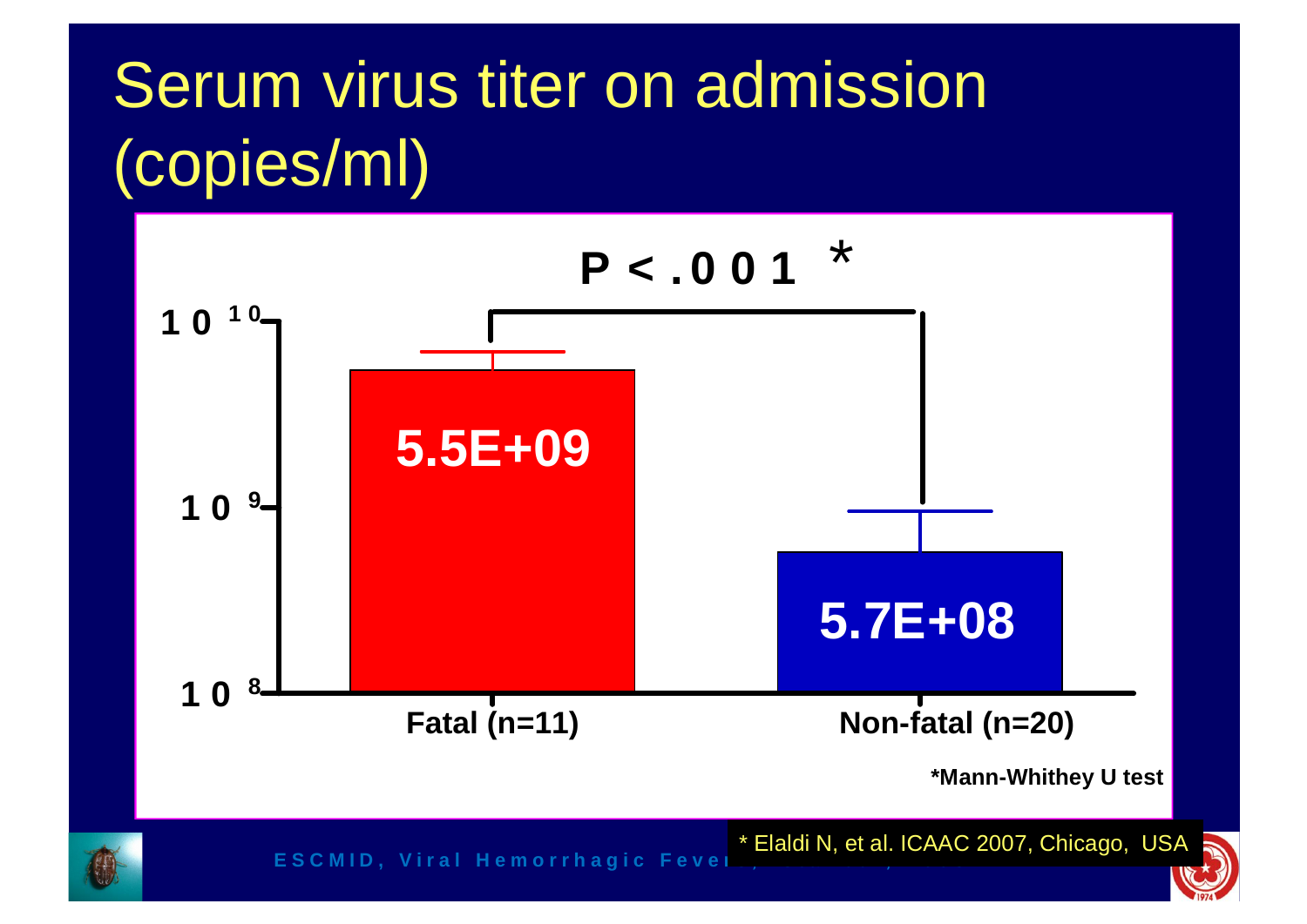### Serum virus titer on admission (copies/ml)

![](_page_16_Figure_1.jpeg)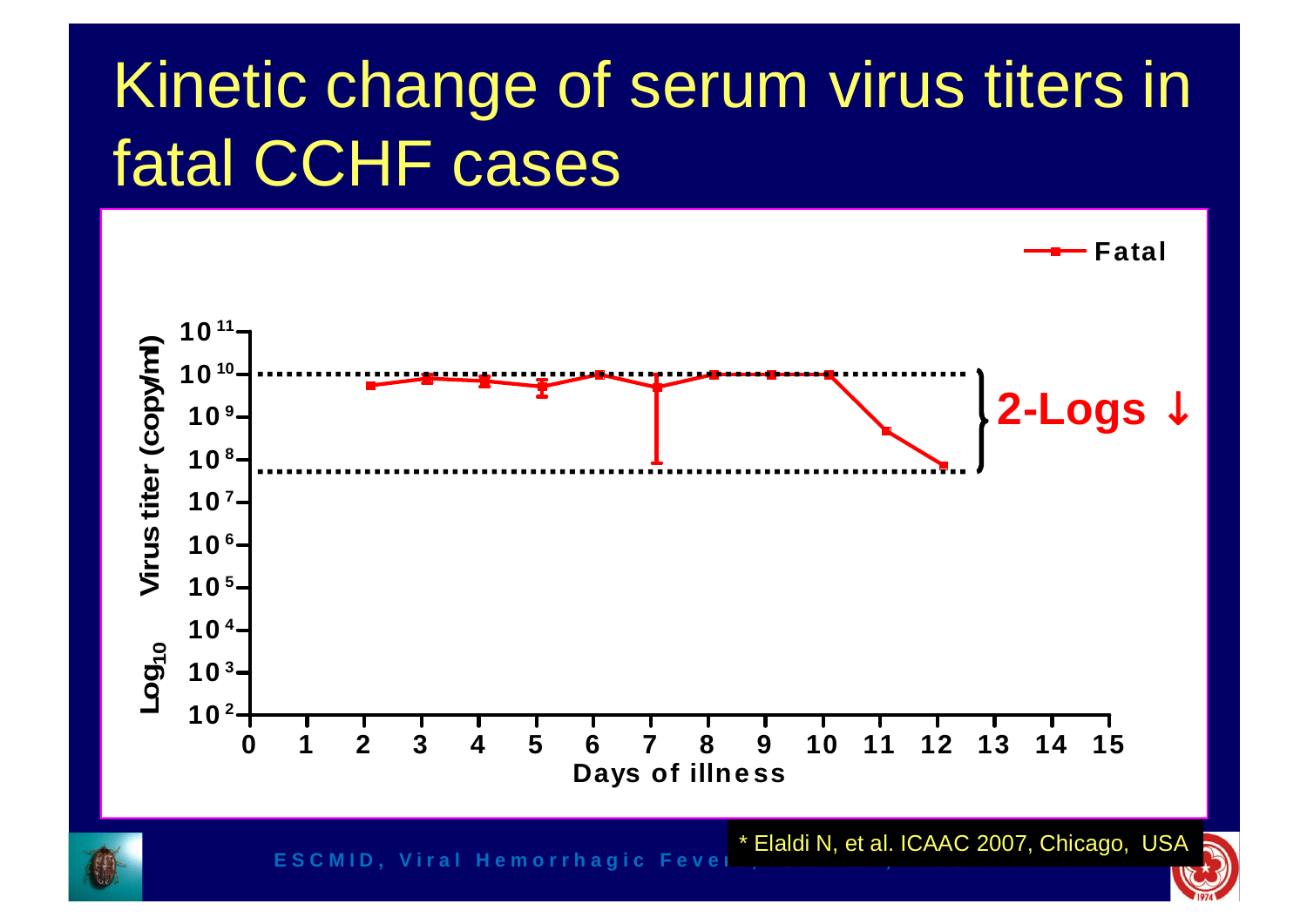### Kinetic change of serum virus titers in fatal CCHF cases

![](_page_17_Figure_1.jpeg)

**ESCMID, Viral Hemorrhagic Fever** 

\* Elaldi N, et al. ICAAC 2007, Chicago, USA

![](_page_17_Picture_4.jpeg)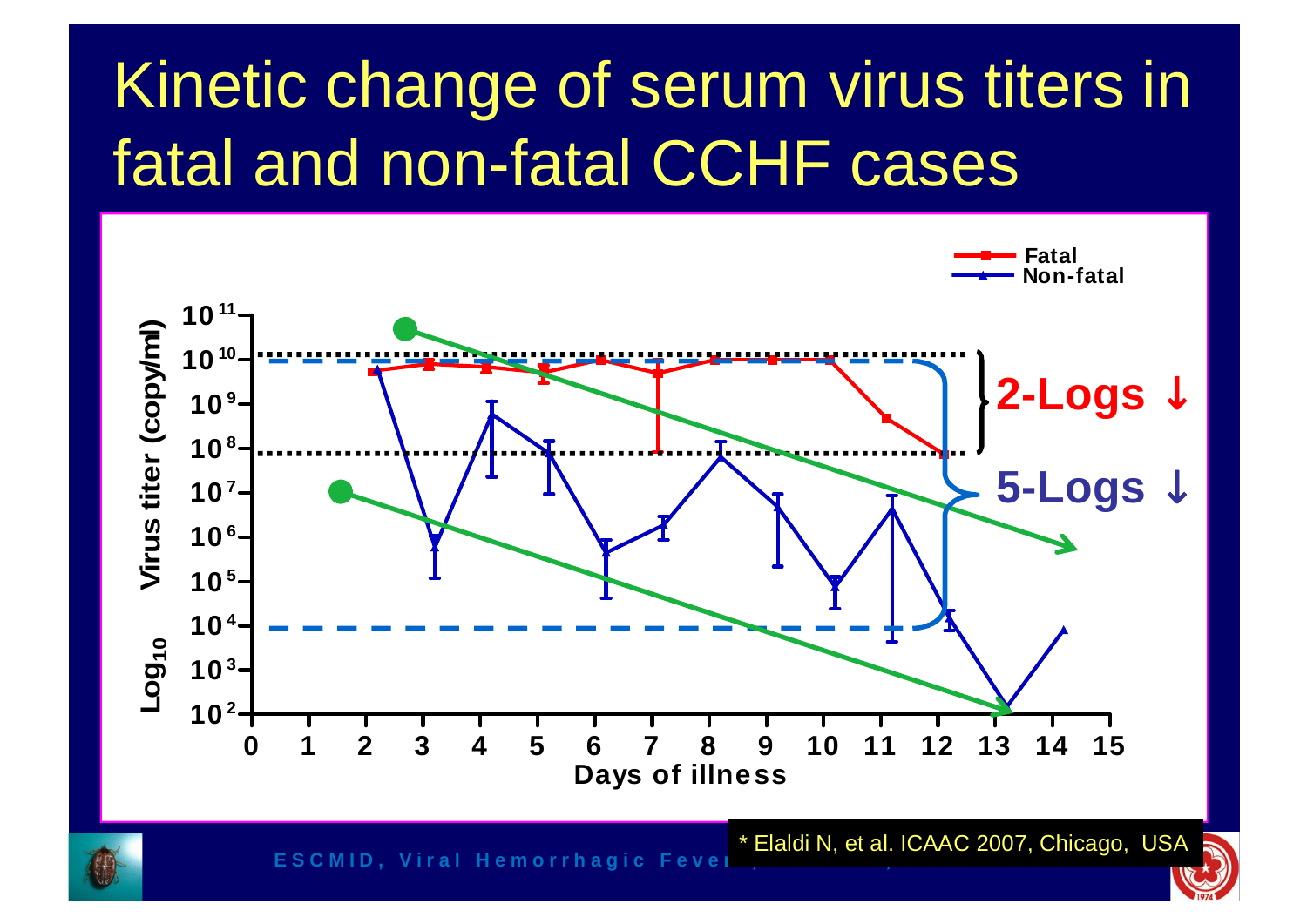### Kinetic change of serum virus titers in fatal and non-fatal CCHF cases

![](_page_18_Figure_1.jpeg)

**ESCMID, Viral Hemorrhagic Fever** 

19 \* Elaldi N, et al. ICAAC 2007, Chicago, USA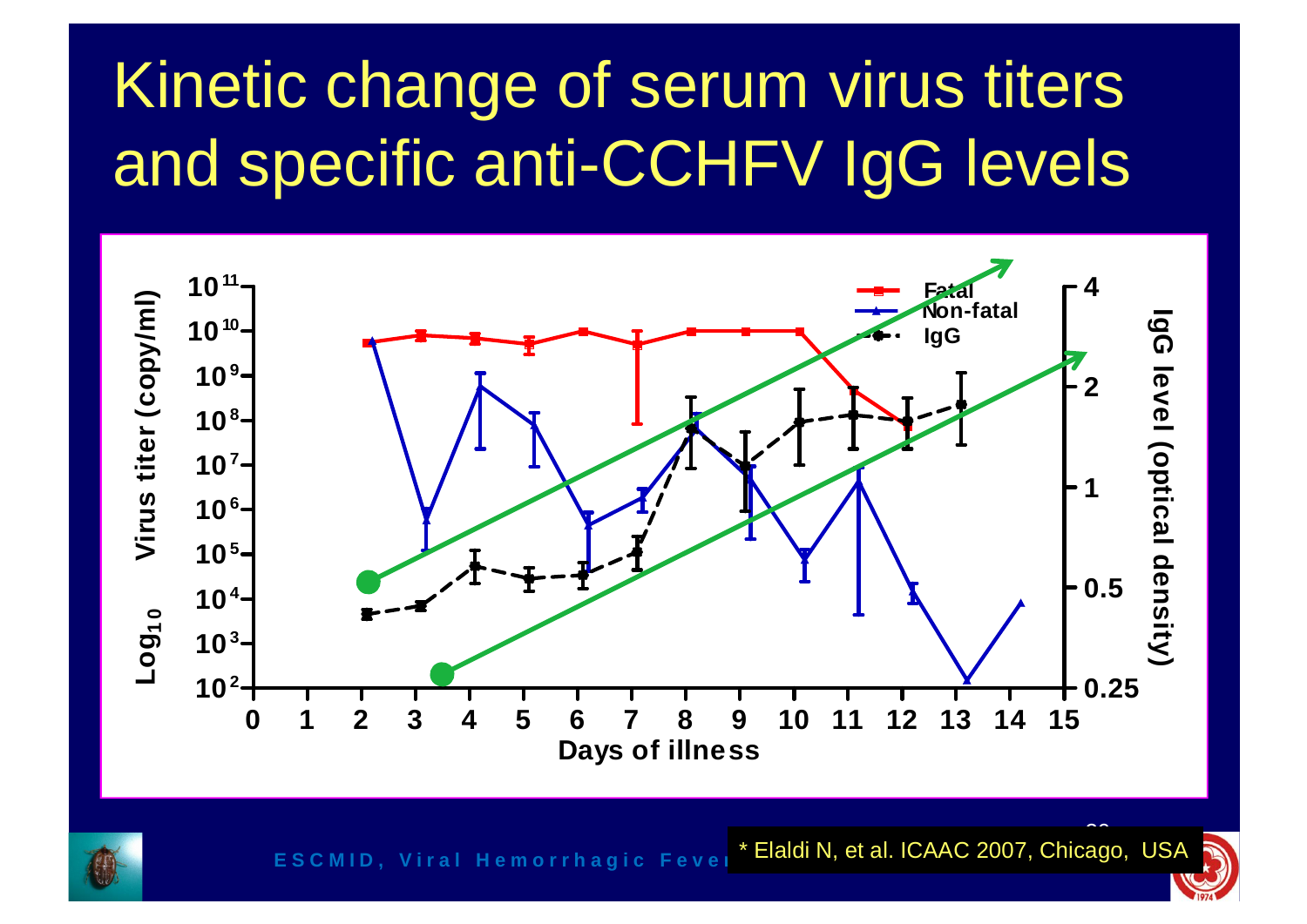### Kinetic change of serum virus titers and specific anti-CCHFV IgG levels

![](_page_19_Figure_1.jpeg)

![](_page_19_Picture_2.jpeg)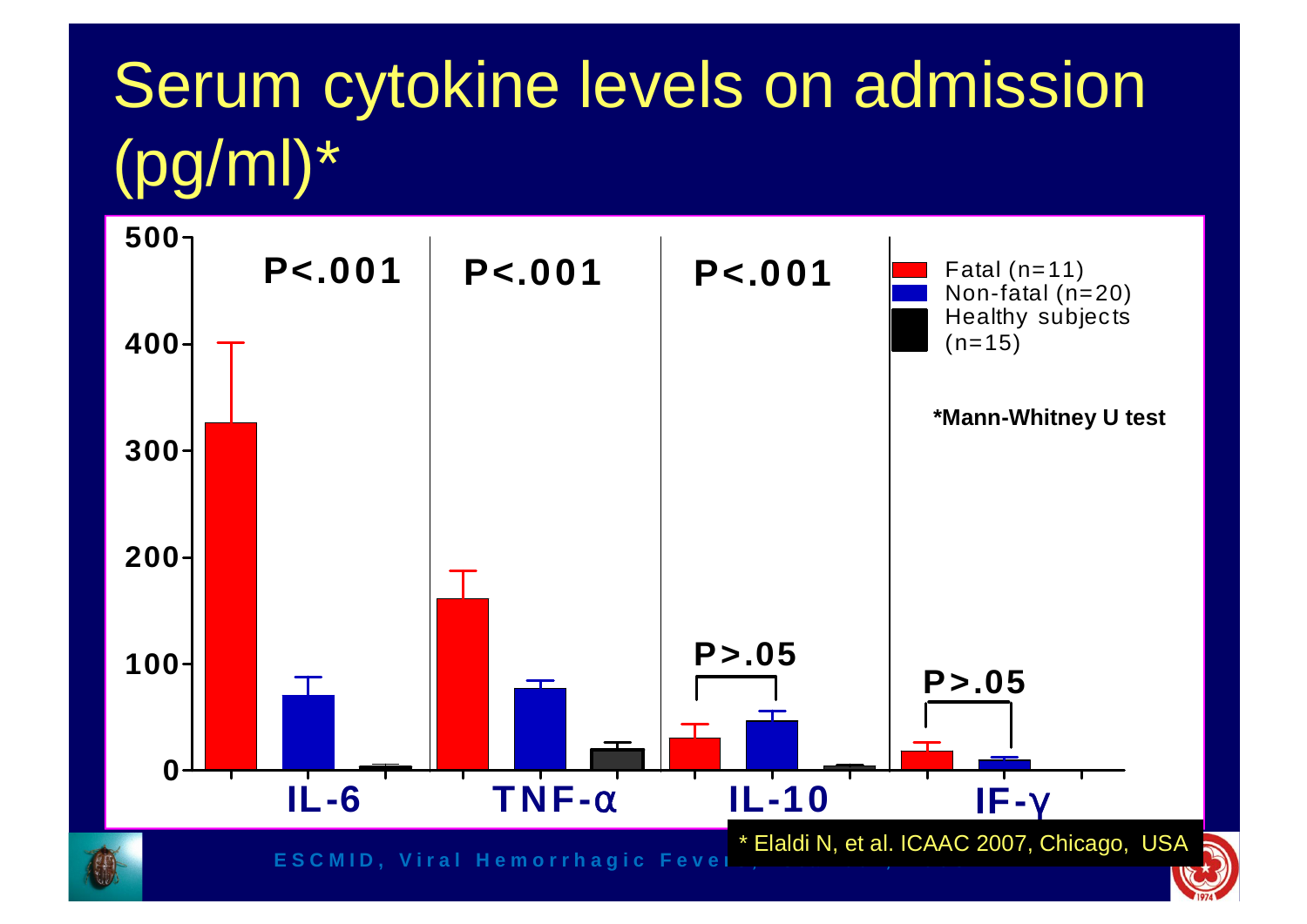### Serum cytokine levels on admission (pg/ml)\*

![](_page_20_Figure_1.jpeg)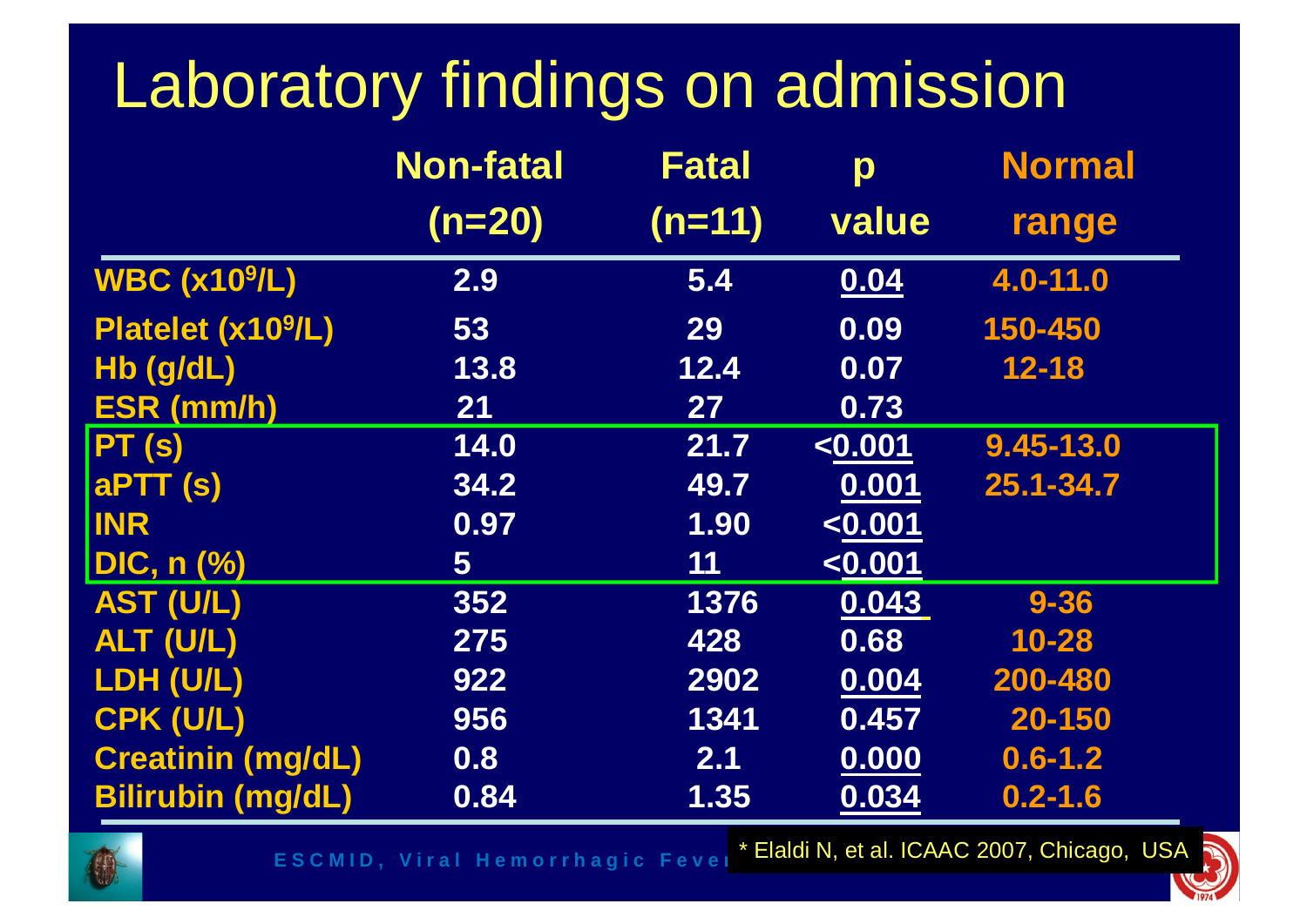### Laboratory findings on admission

|                                | <b>Non-fatal</b> | <b>Fatal</b> | p                | <b>Normal</b> |
|--------------------------------|------------------|--------------|------------------|---------------|
|                                | $(n=20)$         | $(n=11)$     | value            | range         |
| <b>WBC (x10<sup>9</sup>/L)</b> | 2.9              | 5.4          | 0.04             | 4.0-11.0      |
| Platelet (x10 <sup>9</sup> /L) | 53               | 29           | 0.09             | 150-450       |
| Hb (g/dL)                      | 13.8             | 12.4         | 0.07             | $12 - 18$     |
| <b>ESR (mm/h)</b>              | $21$             | 27           | 0.73             |               |
| PT(s)                          | 14.0             | 21.7         | <sub>0.001</sub> | $9.45 - 13.0$ |
| <b>aPTT (s)</b>                | 34.2             | 49.7         | 0.001            | 25.1-34.7     |
| <b>INR</b>                     | 0.97             | 1.90         | < 0.001          |               |
| <b>DIC, n (%)</b>              | 5                | 11           | < 0.001          |               |
| <b>AST (U/L)</b>               | 352              | 1376         | 0.043            | $9 - 36$      |
| ALT (U/L)                      | 275              | 428          | 0.68             | $10 - 28$     |
| LDH (U/L)                      | 922              | 2902         | 0.004            | 200-480       |
| CPK (U/L)                      | 956              | 1341         | 0.457            | 20-150        |
| <b>Creatinin (mg/dL)</b>       | 0.8              | 2.1          | 0.000            | $0.6 - 1.2$   |
| <b>Bilirubin (mg/dL)</b>       | 0.84             | 1.35         | 0.034            | $0.2 - 1.6$   |

![](_page_21_Picture_2.jpeg)

**E S C M I D**, Viral Hemorrhagic Fever \* Elaldi N, et al. ICAAC 20 \* Elaldi N, et al. ICAAC 2007, Chicago, USA -

![](_page_21_Picture_4.jpeg)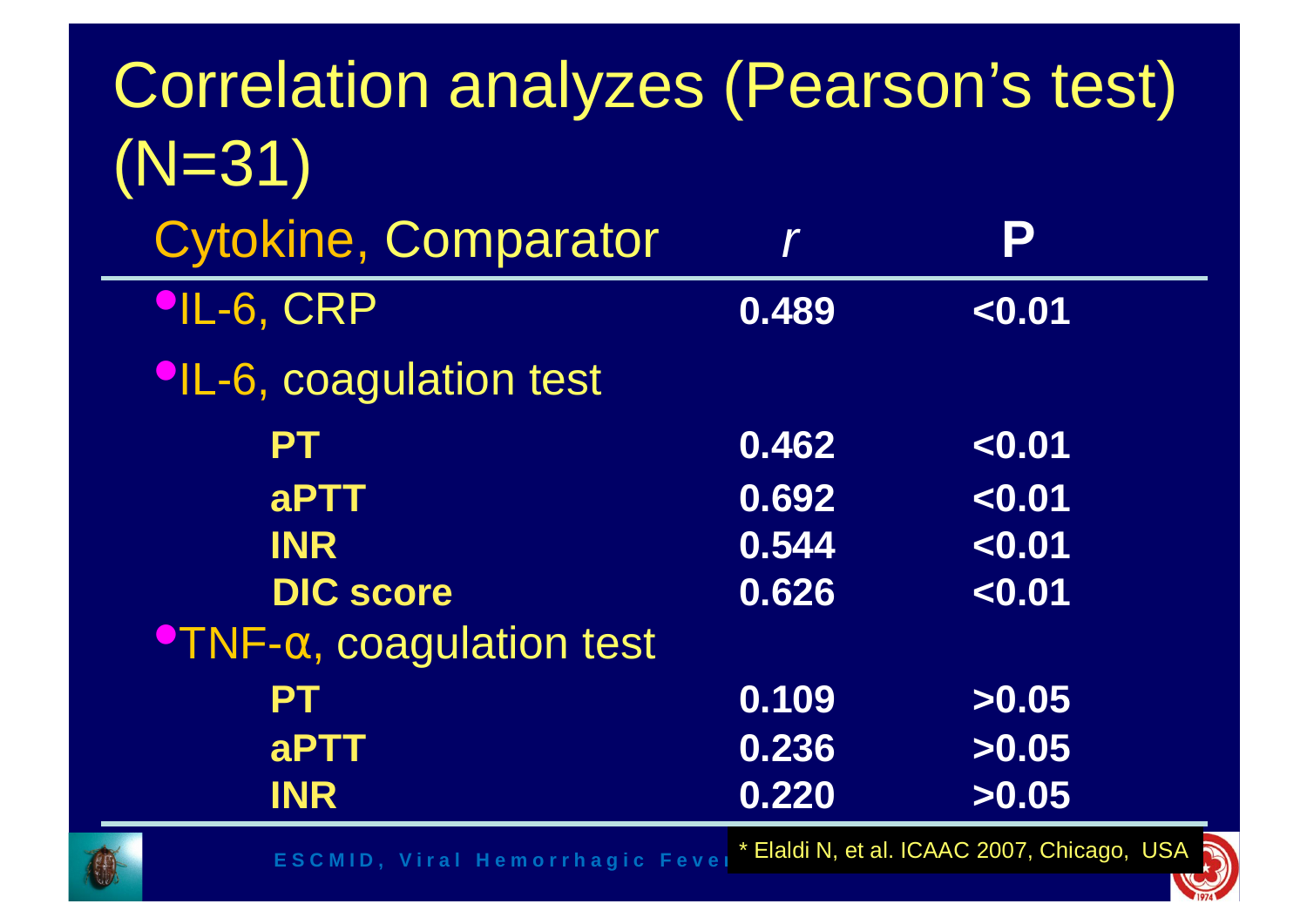| <b>Correlation analyzes (Pearson's test)</b> |       |                                             |
|----------------------------------------------|-------|---------------------------------------------|
| $(N=31)$                                     |       |                                             |
| <b>Cytokine, Comparator</b>                  |       | Р                                           |
| <b>PIL-6, CRP</b>                            | 0.489 | < 0.01                                      |
| <b>OL-6, coagulation test</b>                |       |                                             |
| <b>PT</b>                                    | 0.462 | < 0.01                                      |
| aPTT                                         | 0.692 | < 0.01                                      |
| <b>INR</b>                                   | 0.544 | < 0.01                                      |
| <b>DIC score</b>                             | 0.626 | < 0.01                                      |
| $\bullet$ TNF- $\alpha$ , coagulation test   |       |                                             |
| PT                                           | 0.109 | >0.05                                       |
| aPTT                                         | 0.236 | >0.05                                       |
| <b>INR</b>                                   | 0.220 | >0.05                                       |
| <b>ESCMID, Viral Hemorrhagic Fevel</b>       |       | * Elaldi N, et al. ICAAC 2007, Chicago, USA |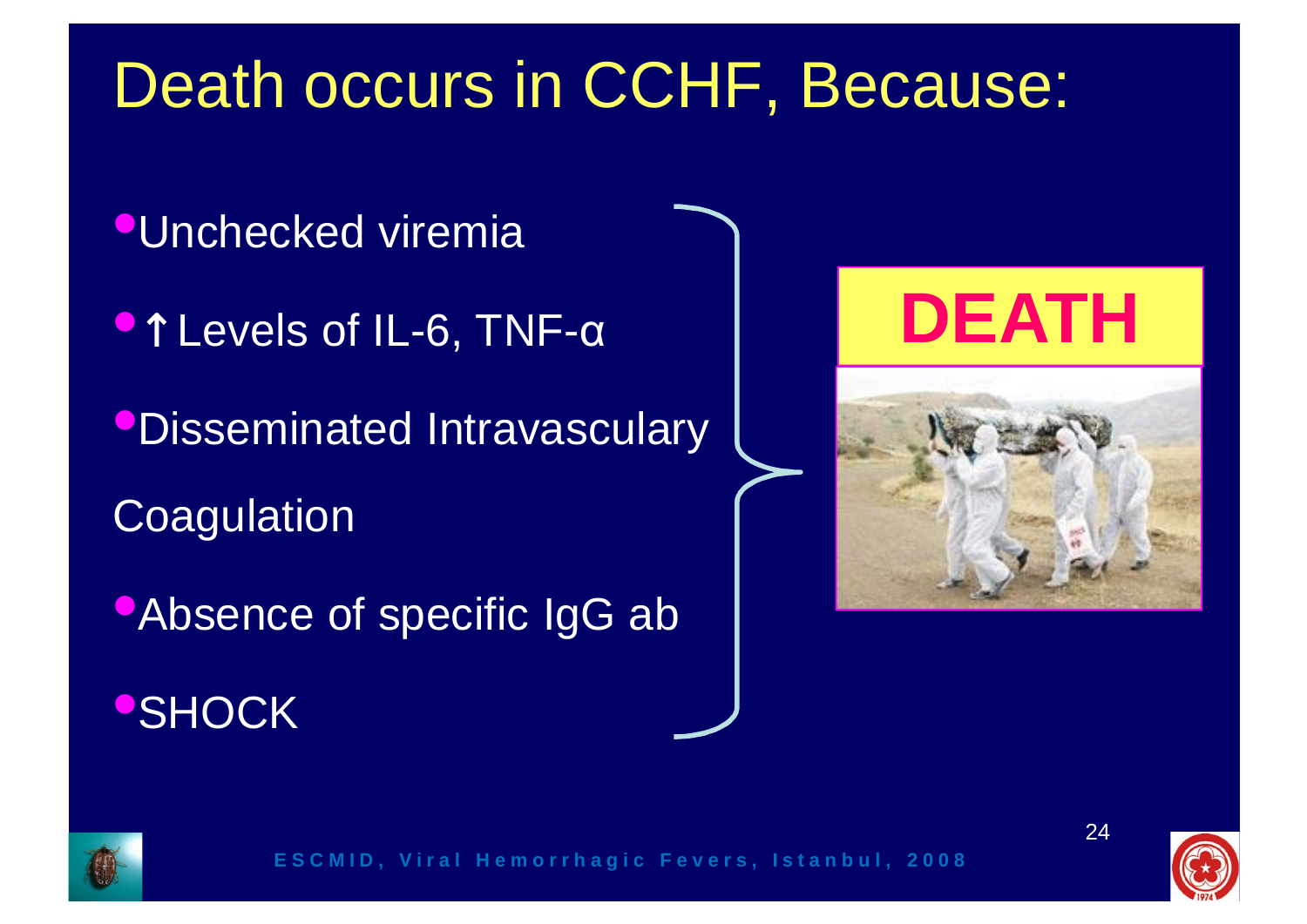### Death occurs in CCHF, Because:

- **•Unchecked viremia**
- Levels of IL-6, TNF-α
- •Disseminated Intravasculary
- **Coagulation**
- •Absence of specific IgG ab **•SHOCK**

![](_page_23_Picture_6.jpeg)

![](_page_23_Picture_7.jpeg)

![](_page_23_Picture_8.jpeg)

![](_page_23_Picture_9.jpeg)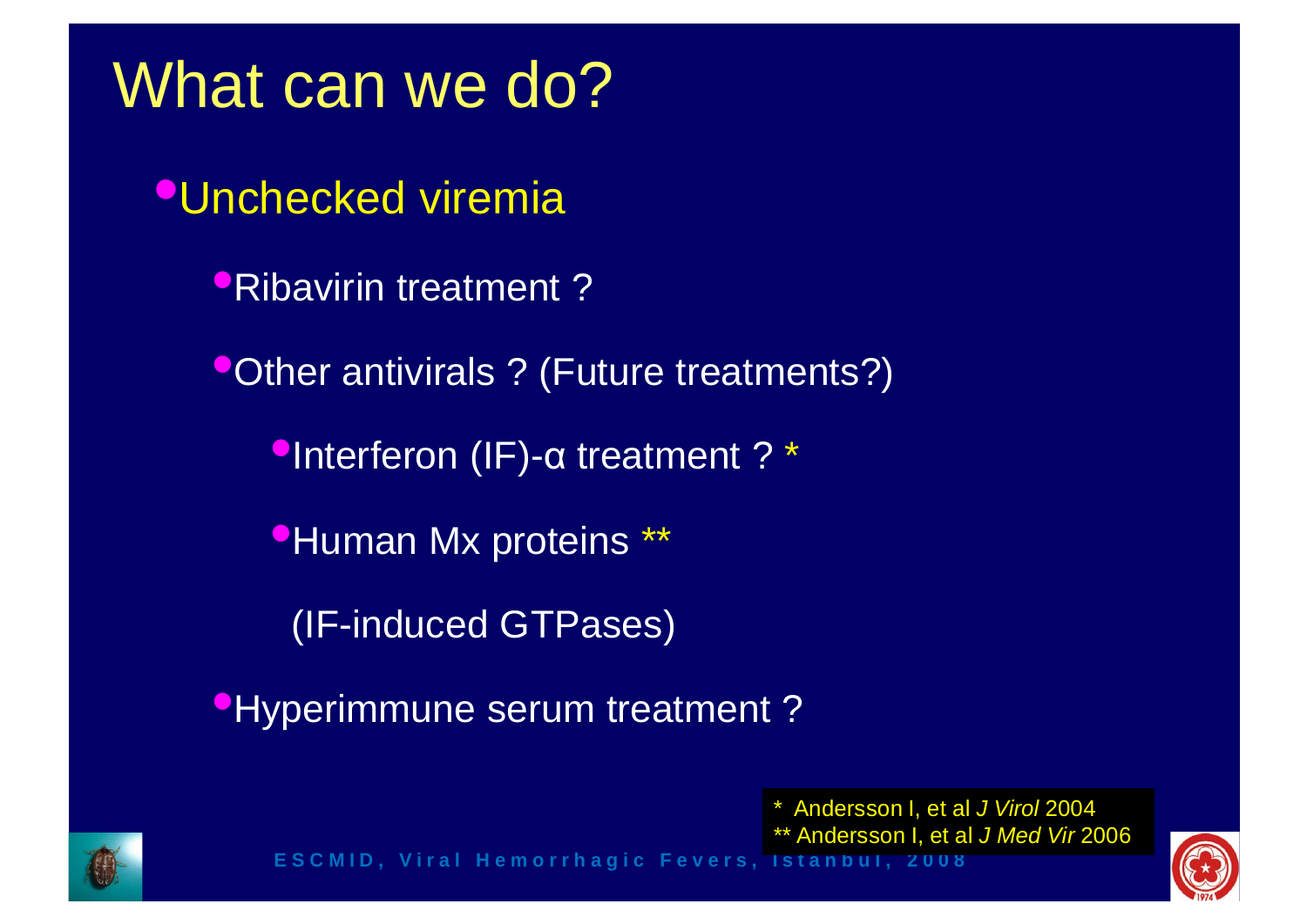### What can we do?

•Unchecked viremia

•Ribavirin treatment ?

**•Other antivirals ? (Future treatments?)** 

•Interferon (IF)-α treatment ? \*

**•Human Mx proteins \*\*** 

(IF-induced GTPases)

**•Hyperimmune serum treatment?** 

\* Andersson I, et al *J Virol* 2004

25 \*\* Andersson I, et al *J Med Vir* 2006

![](_page_24_Picture_10.jpeg)

![](_page_24_Picture_12.jpeg)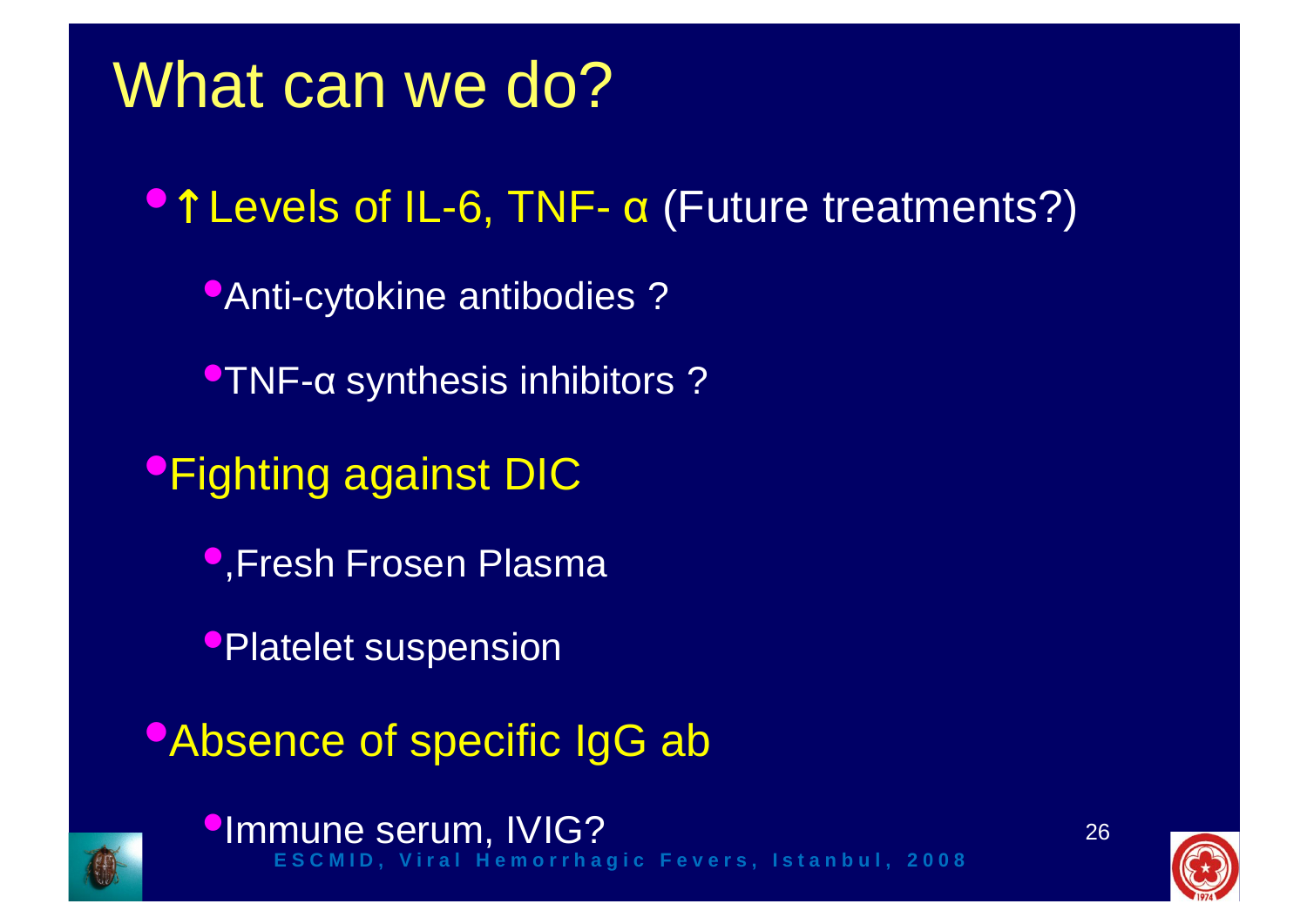### What can we do?

•↑ Levels of IL-6, TNF- α (Future treatments?) **•Anti-cytokine antibodies ?** •TNF-<sup>α</sup> synthesis inhibitors ? •Fighting against DIC •,Fresh Frosen Plasma •Platelet suspension •Absence of specific IgG ab

![](_page_25_Picture_2.jpeg)

**CIMMUNE SETUM, IVIG?**<br>ESCMID, Viral Hemorrhagic Fevers, Istanbul, 2008

![](_page_25_Picture_4.jpeg)

![](_page_25_Picture_5.jpeg)